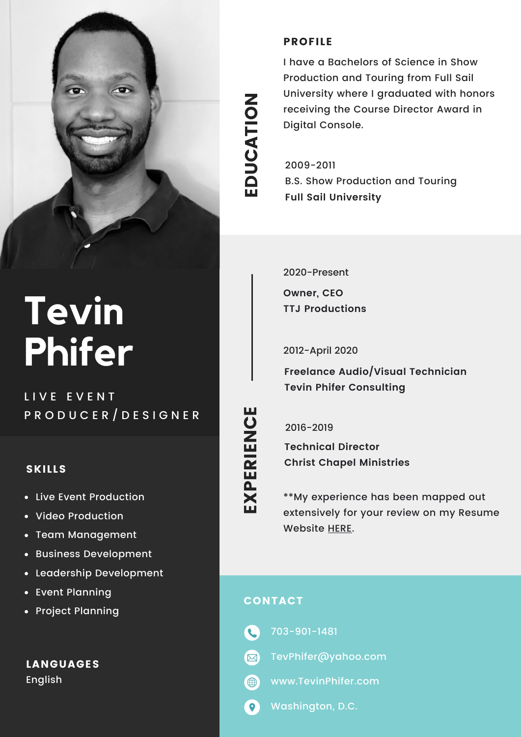

# **Tevin Phifer**

LIVE EVENT P R O D U C E R / D E S I G N E R

#### SKILLS

- Live Event Production  $\bullet$
- Video Production
- Team Management  $\bullet$
- Business Development  $\bullet$
- Leadership Development  $\bullet$
- Event Planning
- Project Planning

LANGUAGES English

## $\mathbf \Omega$  $\mathbf{\mathop{D}}$  $\mathbf C$ A $\frac{\mathsf{O}}{\mathsf{H}}$ Z

E

#### PROFILE

I have a Bachelors of Science in Show Production and Touring from Full Sail University where I graduated with honors receiving the Course Director Award in Digital Console.

2009-2011 B.S. Show Production and Touring **Full Sail University**

2020-Present

**Owner, CEO TTJ Productions**

2012-April 2020

**Freelance Audio/Visual Technician Tevin Phifer Consulting**

<u>ሲ</u> ERIE Z  $\mathbf{\mathbf{\mathbf{C}}}$ 

E

EX 2016-2019

**Technical Director Christ Chapel Ministries**

\*\*My experience has been mapped out extensively for your review on my Resume Website [HERE](http://www.tevinphifer.com/).

### CONTACT

- 703-901-1481 **C**
- **M** TevPhifer@yahoo.com
- $\bigoplus$ www.TevinPhifer.com
- $\bullet$ Washington, D.C.